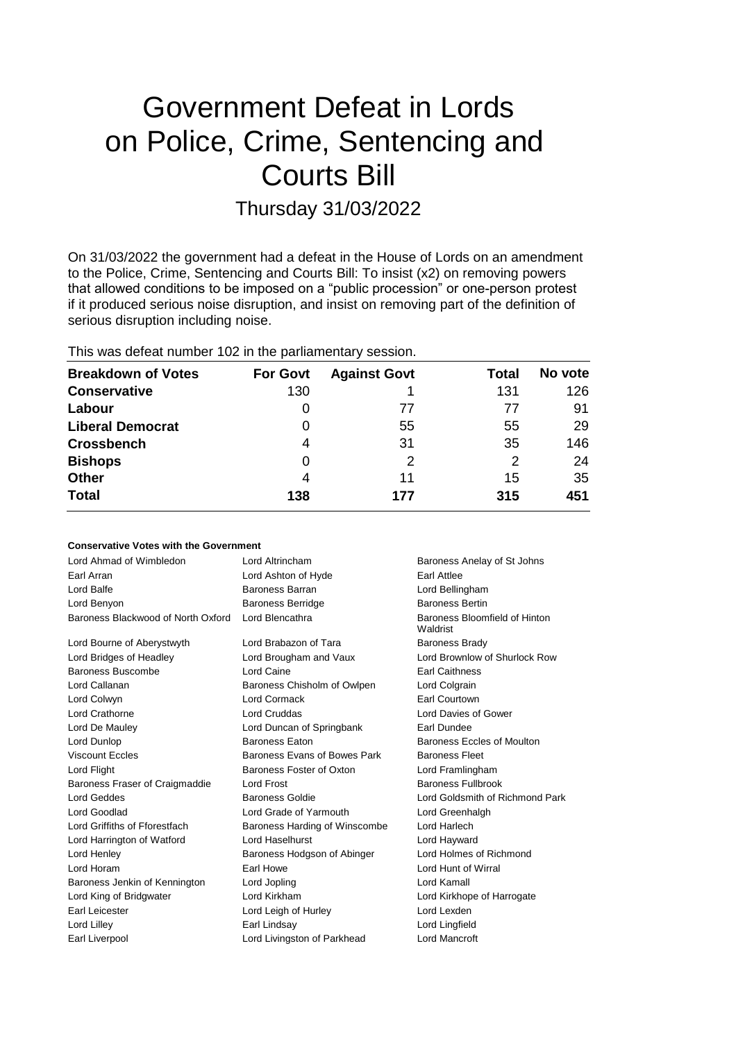# Government Defeat in Lords on Police, Crime, Sentencing and Courts Bill

# Thursday 31/03/2022

On 31/03/2022 the government had a defeat in the House of Lords on an amendment to the Police, Crime, Sentencing and Courts Bill: To insist (x2) on removing powers that allowed conditions to be imposed on a "public procession" or one-person protest if it produced serious noise disruption, and insist on removing part of the definition of serious disruption including noise.

# This was defeat number 102 in the parliamentary session.

| <b>Breakdown of Votes</b> | <b>For Govt</b> | <b>Against Govt</b> | Total         | No vote |
|---------------------------|-----------------|---------------------|---------------|---------|
| <b>Conservative</b>       | 130             |                     | 131           | 126     |
| Labour                    |                 | 77                  | 77            | 91      |
| <b>Liberal Democrat</b>   |                 | 55                  | 55            | 29      |
| <b>Crossbench</b>         | 4               | 31                  | 35            | 146     |
| <b>Bishops</b>            |                 | 2                   | $\mathcal{P}$ | 24      |
| <b>Other</b>              | 4               | 11                  | 15            | 35      |
| <b>Total</b>              | 138             | 177                 | 315           | 451     |

### **Conservative Votes with the Government**

| Lord Ahmad of Wimbledon            | Lord Altrincham               | Baroness Anelay of St Johns               |
|------------------------------------|-------------------------------|-------------------------------------------|
| Earl Arran                         | Lord Ashton of Hyde           | Earl Attlee                               |
| Lord Balfe                         | Baroness Barran               | Lord Bellingham                           |
| Lord Benyon                        | <b>Baroness Berridge</b>      | <b>Baroness Bertin</b>                    |
| Baroness Blackwood of North Oxford | Lord Blencathra               | Baroness Bloomfield of Hinton<br>Waldrist |
| Lord Bourne of Aberystwyth         | Lord Brabazon of Tara         | <b>Baroness Brady</b>                     |
| Lord Bridges of Headley            | Lord Brougham and Vaux        | Lord Brownlow of Shurlock Row             |
| Baroness Buscombe                  | Lord Caine                    | <b>Earl Caithness</b>                     |
| Lord Callanan                      | Baroness Chisholm of Owlpen   | Lord Colgrain                             |
| Lord Colwyn                        | <b>Lord Cormack</b>           | Earl Courtown                             |
| Lord Crathorne                     | <b>Lord Cruddas</b>           | Lord Davies of Gower                      |
| Lord De Mauley                     | Lord Duncan of Springbank     | Earl Dundee                               |
| Lord Dunlop                        | <b>Baroness Eaton</b>         | Baroness Eccles of Moulton                |
| <b>Viscount Eccles</b>             | Baroness Evans of Bowes Park  | <b>Baroness Fleet</b>                     |
| Lord Flight                        | Baroness Foster of Oxton      | Lord Framlingham                          |
| Baroness Fraser of Craigmaddie     | Lord Frost                    | <b>Baroness Fullbrook</b>                 |
| <b>Lord Geddes</b>                 | <b>Baroness Goldie</b>        | Lord Goldsmith of Richmond Park           |
| Lord Goodlad                       | Lord Grade of Yarmouth        | Lord Greenhalgh                           |
| Lord Griffiths of Fforestfach      | Baroness Harding of Winscombe | Lord Harlech                              |
| Lord Harrington of Watford         | Lord Haselhurst               | Lord Hayward                              |
| Lord Henley                        | Baroness Hodgson of Abinger   | Lord Holmes of Richmond                   |
| Lord Horam                         | Earl Howe                     | Lord Hunt of Wirral                       |
| Baroness Jenkin of Kennington      | Lord Jopling                  | Lord Kamall                               |
| Lord King of Bridgwater            | Lord Kirkham                  | Lord Kirkhope of Harrogate                |
| <b>Earl Leicester</b>              | Lord Leigh of Hurley          | Lord Lexden                               |
| Lord Lilley                        | Earl Lindsay                  | Lord Lingfield                            |
| Earl Liverpool                     | Lord Livingston of Parkhead   | Lord Mancroft                             |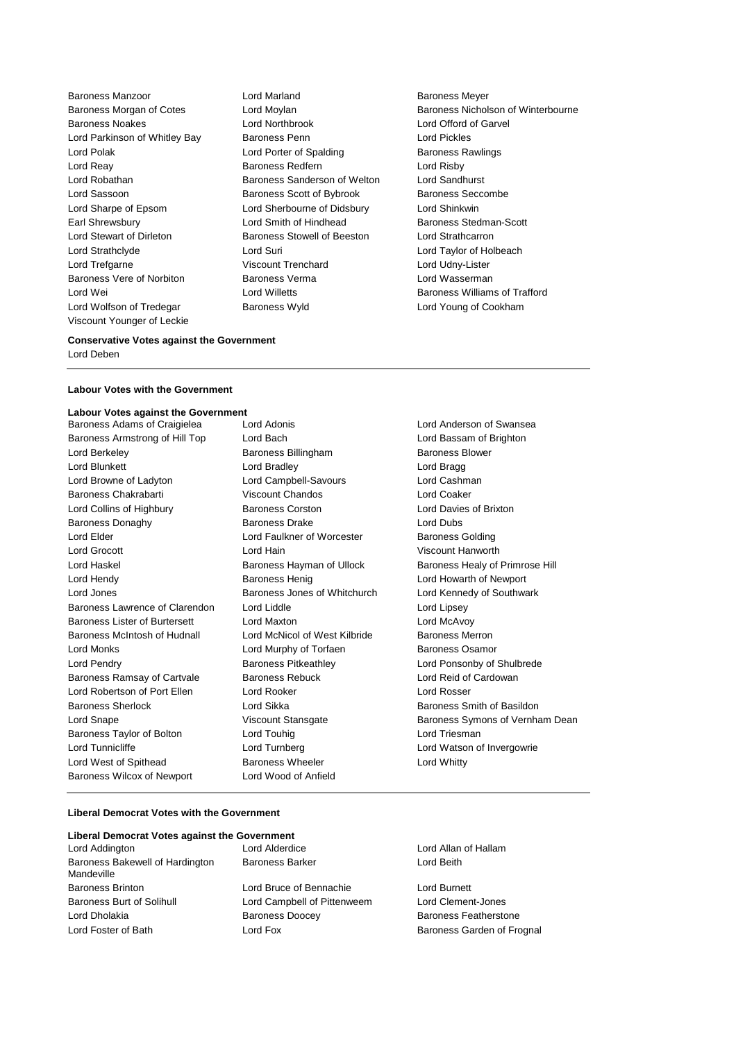Baroness Manzoor **Lord Marland Baroness Meyer Baroness Meyer** Baroness Noakes **Lord Northbrook** Lord Wolfson of Tredegar **Baroness Wyld Baroness Wyld** Lord Young of Cookham Viscount Younger of Leckie

Lord Parkinson of Whitley Bay Baroness Penn Lord Pickles Lord Polak **Lord Porter of Spalding Baroness Rawlings Baroness Rawlings** Lord Reay Baroness Redfern Lord Risby Lord Robathan Baroness Sanderson of Welton Lord Sandhurst Lord Sassoon **Baroness Scott of Bybrook** Baroness Seccombe Lord Sharpe of Epsom Lord Sherbourne of Didsbury Lord Shinkwin Earl Shrewsbury **Example 20** Lord Smith of Hindhead Baroness Stedman-Scott Lord Stewart of Dirleton Baroness Stowell of Beeston Lord Strathcarron Lord Strathclyde Lord Suri Lord Taylor of Holbeach Lord Trefgarne Viscount Trenchard Lord Udny-Lister Baroness Vere of Norbiton **Baroness Verma** Baroness Verman Lord Wasserman Lord Wei Lord Willetts Baroness Williams of Trafford

Baroness Morgan of Cotes Lord Moylan **Baroness Nicholson of Winterbourne**<br>
Baroness Noakes **Lord Cord Northbrook** Lord Christ Lord Christ Carvel

#### **Conservative Votes against the Government** Lord Deben

#### **Labour Votes with the Government**

#### **Labour Votes against the Government**

| Baroness Adams of Craigielea   | Lord Adonis                   | Lord Ander         |
|--------------------------------|-------------------------------|--------------------|
| Baroness Armstrong of Hill Top | Lord Bach                     | Lord Bassa         |
| Lord Berkeley                  | Baroness Billingham           | <b>Baroness B</b>  |
| Lord Blunkett                  | Lord Bradley                  | Lord Bragg         |
| Lord Browne of Ladyton         | Lord Campbell-Savours         | Lord Cashi         |
| Baroness Chakrabarti           | <b>Viscount Chandos</b>       | Lord Coake         |
| Lord Collins of Highbury       | <b>Baroness Corston</b>       | <b>Lord Davie</b>  |
| <b>Baroness Donaghy</b>        | <b>Baroness Drake</b>         | Lord Dubs          |
| Lord Elder                     | Lord Faulkner of Worcester    | Baroness (         |
| Lord Grocott                   | Lord Hain                     | Viscount H         |
| Lord Haskel                    | Baroness Hayman of Ullock     | Baroness I         |
| Lord Hendy                     | <b>Baroness Henig</b>         | Lord Howa          |
| Lord Jones                     | Baroness Jones of Whitchurch  | Lord Kenne         |
| Baroness Lawrence of Clarendon | Lord Liddle                   | Lord Lipse         |
| Baroness Lister of Burtersett  | Lord Maxton                   | Lord McAv          |
| Baroness McIntosh of Hudnall   | Lord McNicol of West Kilbride | Baroness I         |
| Lord Monks                     | Lord Murphy of Torfaen        | Baroness (         |
| Lord Pendry                    | <b>Baroness Pitkeathley</b>   | Lord Ponso         |
| Baroness Ramsay of Cartvale    | <b>Baroness Rebuck</b>        | Lord Reid          |
| Lord Robertson of Port Ellen   | Lord Rooker                   | Lord Rosse         |
| <b>Baroness Sherlock</b>       | Lord Sikka                    | <b>Baroness 9</b>  |
| Lord Snape                     | Viscount Stansgate            | <b>Baroness 9</b>  |
| Baroness Taylor of Bolton      | Lord Touhig                   | <b>Lord Triesr</b> |
| Lord Tunnicliffe               | Lord Turnberg                 | Lord Wats          |
| Lord West of Spithead          | <b>Baroness Wheeler</b>       | Lord Whitty        |
| Baroness Wilcox of Newport     | Lord Wood of Anfield          |                    |
|                                |                               |                    |

d Adonis **Craigiele Lord Anderson of Swansea** d Bach **Baroness Armstrong Lord Bassam of Brighton Cord Berkeley Baroness Blower** Baroness Blower d Bradley **Lord Bragg** d Campbell-Savours Lord Cashman Baroness Chakrabarti Viscount Chandos Lord Coaker **Collins Corston Collins Collins Concerns Corston Lord Davies of Brixton Lord Davies of Brixton** d Faulkner of Worcester **Baroness Golding** d Hain **Crootter Coronal Crootter Viscount Hanworth** The Lord Howarth of Newport d Liddle **Lawrence of Clarendon Lord Lipsey** d Maxton **Burtersett Lord McAvoy** d McNicol of West Kilbride Baroness Merron d Murphy of Torfaen Baroness Osamor Framess Rebuck **Cartyage Carty Carty Lord Reid of Cardowan** d Rooker **Ellen Lord Rosser** Lord Rosser d Touhig **Baroness Taylor Constructs** Lord Triesman oness Wheeler **Lord Whitty** Baroness Wilcox of Newport Lord Wood of Anfield

roness Hayman of Ullock Baroness Healy of Primrose Hill oness Jones of Whitchurch Lord Kennedy of Southwark The Pitkeathley **Lord Ponsonby of Shulbrede** d Sikka **Baroness Smith of Basildon** count Stansgate **Baroness Symons of Vernham Dean** d Turnberg **Lord Watson of Invergowrie** 

#### **Liberal Democrat Votes with the Government**

# **Liberal Democrat Votes against the Government**

Lord Addington Lord Alderdice Lord Allan of Hallam Baroness Bakewell of Hardington Mandeville Baroness Brinton Lord Bruce of Bennachie Lord Burnett Baroness Burt of Solihull Lord Campbell of Pittenweem Lord Clement-Jones Lord Dholakia Baroness Doocey Baroness Featherstone Lord Foster of Bath **Lord Fox** Lord Fox **Baroness Garden of Frognal** 

Baroness Barker **Lord Beith**